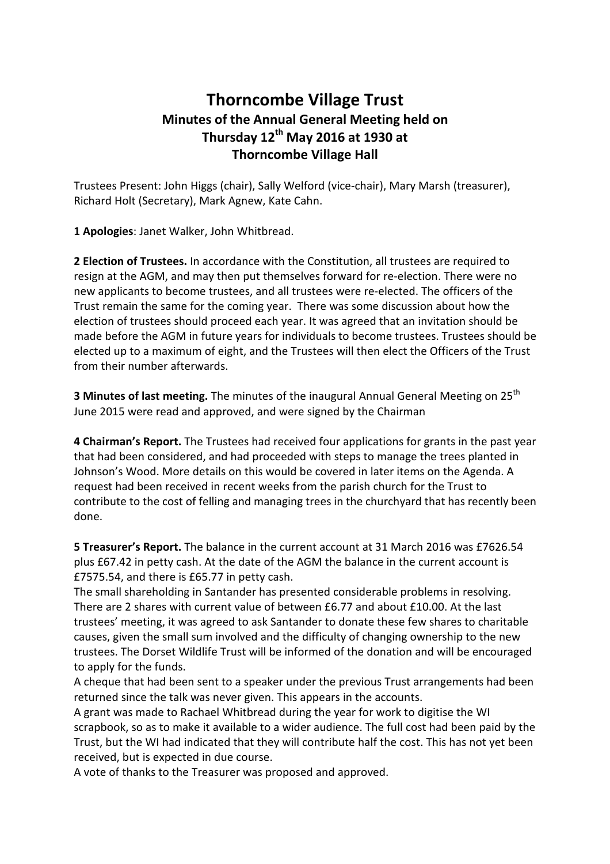## **Thorncombe Village Trust Minutes of the Annual General Meeting held on Thursday 12th May 2016 at 1930 at Thorncombe Village Hall**

Trustees Present: John Higgs (chair), Sally Welford (vice-chair), Mary Marsh (treasurer), Richard Holt (Secretary), Mark Agnew, Kate Cahn.

**1 Apologies**: Janet Walker, John Whitbread.

**2 Election of Trustees.** In accordance with the Constitution, all trustees are required to resign at the AGM, and may then put themselves forward for re-election. There were no new applicants to become trustees, and all trustees were re-elected. The officers of the Trust remain the same for the coming year. There was some discussion about how the election of trustees should proceed each year. It was agreed that an invitation should be made before the AGM in future years for individuals to become trustees. Trustees should be elected up to a maximum of eight, and the Trustees will then elect the Officers of the Trust from their number afterwards.

**3 Minutes of last meeting.** The minutes of the inaugural Annual General Meeting on 25<sup>th</sup> June 2015 were read and approved, and were signed by the Chairman

**4 Chairman's Report.** The Trustees had received four applications for grants in the past year that had been considered, and had proceeded with steps to manage the trees planted in Johnson's Wood. More details on this would be covered in later items on the Agenda. A request had been received in recent weeks from the parish church for the Trust to contribute to the cost of felling and managing trees in the churchyard that has recently been done.

**5 Treasurer's Report.** The balance in the current account at 31 March 2016 was £7626.54 plus £67.42 in petty cash. At the date of the AGM the balance in the current account is £7575.54, and there is £65.77 in petty cash.

The small shareholding in Santander has presented considerable problems in resolving. There are 2 shares with current value of between £6.77 and about £10.00. At the last trustees' meeting, it was agreed to ask Santander to donate these few shares to charitable causes, given the small sum involved and the difficulty of changing ownership to the new trustees. The Dorset Wildlife Trust will be informed of the donation and will be encouraged to apply for the funds.

A cheque that had been sent to a speaker under the previous Trust arrangements had been returned since the talk was never given. This appears in the accounts.

A grant was made to Rachael Whitbread during the year for work to digitise the WI scrapbook, so as to make it available to a wider audience. The full cost had been paid by the Trust, but the WI had indicated that they will contribute half the cost. This has not yet been received, but is expected in due course.

A vote of thanks to the Treasurer was proposed and approved.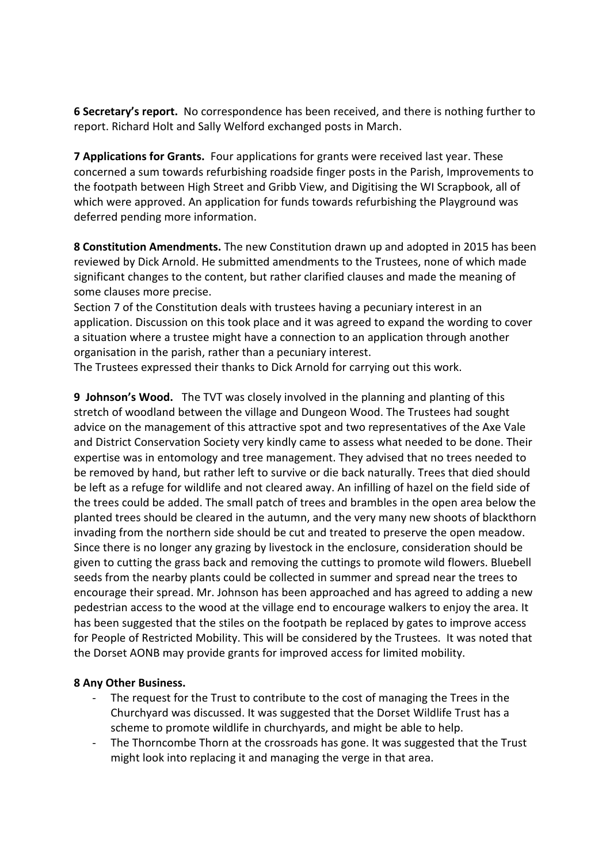**6 Secretary's report.** No correspondence has been received, and there is nothing further to report. Richard Holt and Sally Welford exchanged posts in March.

**7 Applications for Grants.** Four applications for grants were received last year. These concerned a sum towards refurbishing roadside finger posts in the Parish, Improvements to the footpath between High Street and Gribb View, and Digitising the WI Scrapbook, all of which were approved. An application for funds towards refurbishing the Playground was deferred pending more information.

**8 Constitution Amendments.** The new Constitution drawn up and adopted in 2015 has been reviewed by Dick Arnold. He submitted amendments to the Trustees, none of which made significant changes to the content, but rather clarified clauses and made the meaning of some clauses more precise.

Section 7 of the Constitution deals with trustees having a pecuniary interest in an application. Discussion on this took place and it was agreed to expand the wording to cover a situation where a trustee might have a connection to an application through another organisation in the parish, rather than a pecuniary interest.

The Trustees expressed their thanks to Dick Arnold for carrying out this work.

**9 Johnson's Wood.** The TVT was closely involved in the planning and planting of this stretch of woodland between the village and Dungeon Wood. The Trustees had sought advice on the management of this attractive spot and two representatives of the Axe Vale and District Conservation Society very kindly came to assess what needed to be done. Their expertise was in entomology and tree management. They advised that no trees needed to be removed by hand, but rather left to survive or die back naturally. Trees that died should be left as a refuge for wildlife and not cleared away. An infilling of hazel on the field side of the trees could be added. The small patch of trees and brambles in the open area below the planted trees should be cleared in the autumn, and the very many new shoots of blackthorn invading from the northern side should be cut and treated to preserve the open meadow. Since there is no longer any grazing by livestock in the enclosure, consideration should be given to cutting the grass back and removing the cuttings to promote wild flowers. Bluebell seeds from the nearby plants could be collected in summer and spread near the trees to encourage their spread. Mr. Johnson has been approached and has agreed to adding a new pedestrian access to the wood at the village end to encourage walkers to enjoy the area. It has been suggested that the stiles on the footpath be replaced by gates to improve access for People of Restricted Mobility. This will be considered by the Trustees. It was noted that the Dorset AONB may provide grants for improved access for limited mobility.

## **8 Any Other Business.**

- The request for the Trust to contribute to the cost of managing the Trees in the Churchyard was discussed. It was suggested that the Dorset Wildlife Trust has a scheme to promote wildlife in churchyards, and might be able to help.
- The Thorncombe Thorn at the crossroads has gone. It was suggested that the Trust might look into replacing it and managing the verge in that area.